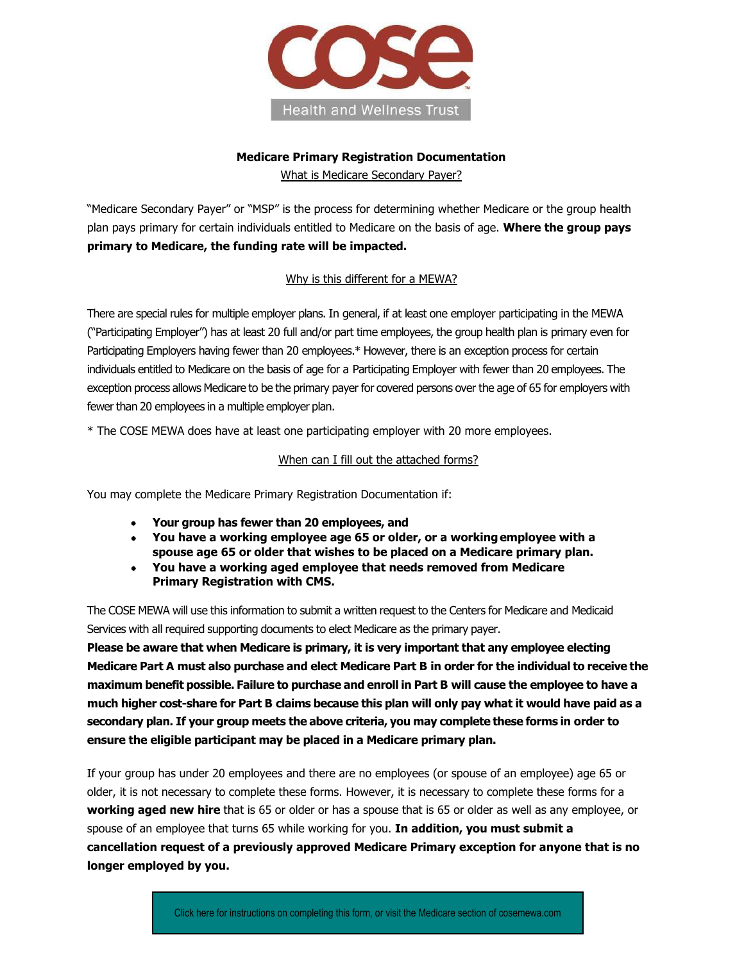

# **Medicare Primary Registration Documentation**

What is Medicare Secondary Payer?

"Medicare Secondary Payer" or "MSP" is the process for determining whether Medicare or the group health plan pays primary for certain individuals entitled to Medicare on the basis of age. **Where the group pays primary to Medicare, the funding rate will be impacted.**

### Why is this different for a MEWA?

There are special rules for multiple employer plans. In general, if at least one employer participating in the MEWA ("Participating Employer") has at least 20 full and/or part time employees, the group health plan is primary even for Participating Employers having fewer than 20 employees.\* However, there is an exception process for certain individuals entitled to Medicare on the basis of age for a Participating Employer with fewer than 20 employees. The exception process allows Medicare to be the primary payer for covered persons over the age of 65 for employers with fewer than 20 employees in a multiple employer plan.

\* The COSE MEWA does have at least one participating employer with 20 more employees.

#### When can I fill out the attached forms?

You may complete the Medicare Primary Registration Documentation if:

- **Your group has fewer than 20 employees, and**
- **You have a working employee age 65 or older, or a workingemployee with a spouse age 65 or older that wishes to be placed on a Medicare primary plan.**
- **You have a working aged employee that needs removed from Medicare Primary Registration with CMS.**

The COSE MEWA will use this information to submit a written request to the Centers for Medicare and Medicaid Services with all required supporting documents to elect Medicare as the primary payer.

**Please be aware that when Medicare is primary, it is very important that any employee electing Medicare Part A must also purchase and elect Medicare Part B in order for the individual to receive the maximum benefit possible. Failure to purchase and enroll in Part B will cause the employee to have a much higher cost-share for Part B claims because this plan will only pay what it would have paid as a secondary plan. If your group meets the above criteria, you may complete these forms in order to ensure the eligible participant may be placed in a Medicare primary plan.** 

If your group has under 20 employees and there are no employees (or spouse of an employee) age 65 or older, it is not necessary to complete these forms. However, it is necessary to complete these forms for a **working aged new hire** that is 65 or older or has a spouse that is 65 or older as well as any employee, or spouse of an employee that turns 65 while working for you. **In addition, you must submit a cancellation request of a previously approved Medicare Primary exception for anyone that is no longer employed by you.**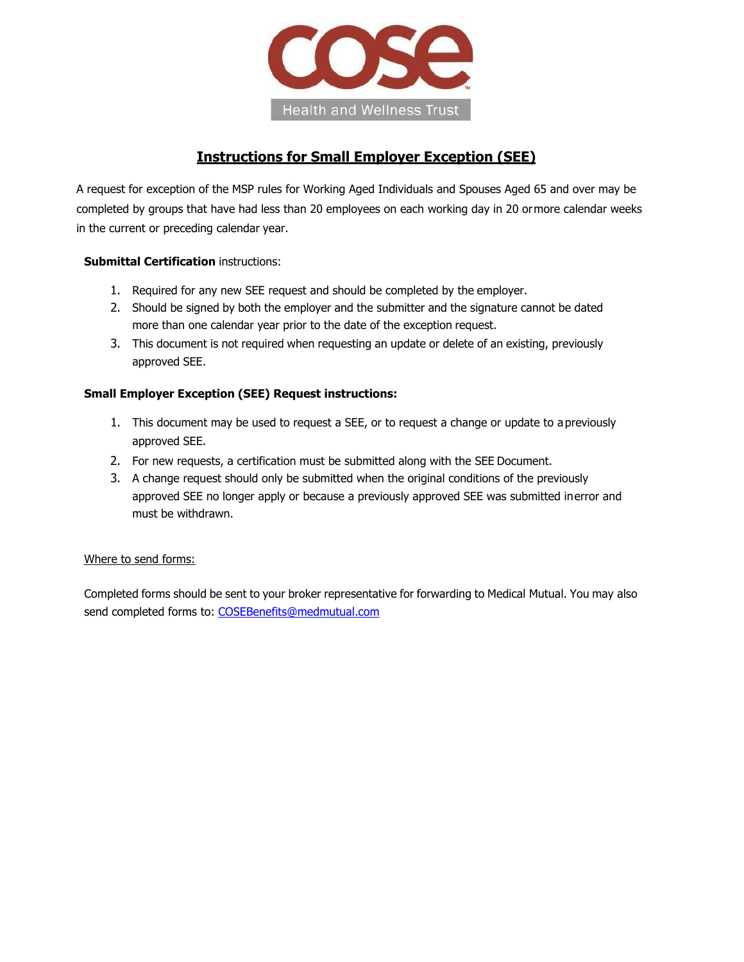

### **Instructions for Small Employer Exception (SEE)**

A request for exception of the MSP rules for Working Aged Individuals and Spouses Aged 65 and over may be completed by groups that have had less than 20 employees on each working day in 20 ormore calendar weeks in the current or preceding calendar year.

#### **Submittal Certification** instructions:

- 1. Required for any new SEE request and should be completed by the employer.
- 2. Should be signed by both the employer and the submitter and the signature cannot be dated more than one calendar year prior to the date of the exception request.
- 3. This document is not required when requesting an update or delete of an existing, previously approved SEE.

#### **Small Employer Exception (SEE) Request instructions:**

- 1. This document may be used to request a SEE, or to request a change or update to apreviously approved SEE.
- 2. For new requests, a certification must be submitted along with the SEE Document.
- 3. A change request should only be submitted when the original conditions of the previously approved SEE no longer apply or because a previously approved SEE was submitted inerror and must be withdrawn.

#### Where to send forms:

Completed forms should be sent to your broker representative for forwarding to Medical Mutual. You may also send completed forms to: [COSEBenefits@medmutual.com](mailto:COSEBenefits@medmutual.com)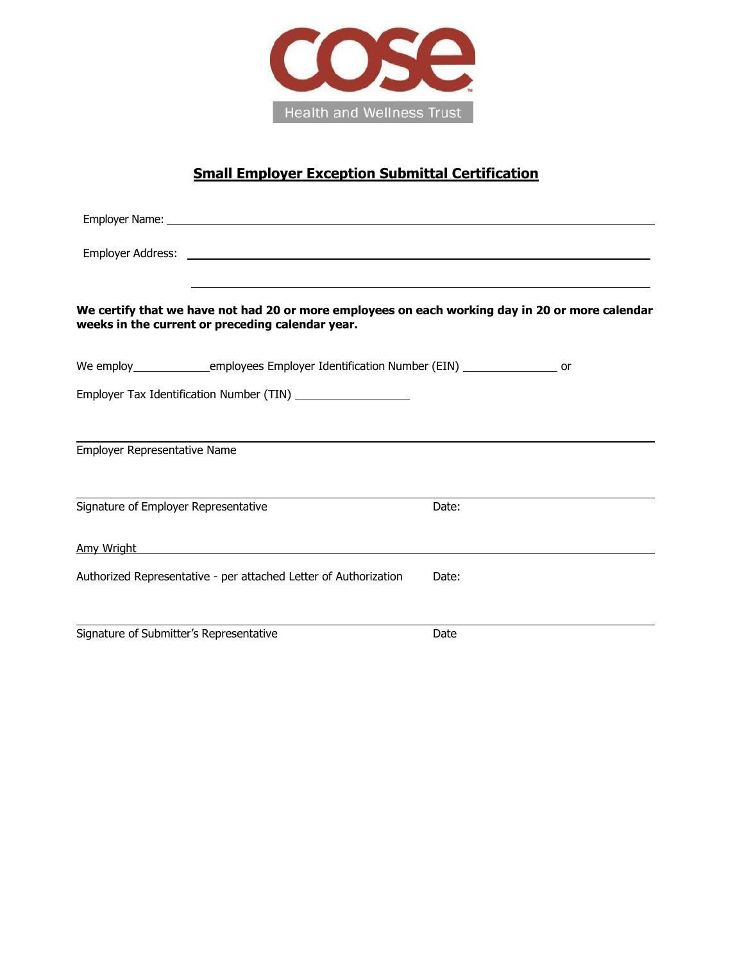

### **Small Employer Exception Submittal Certification**

| We certify that we have not had 20 or more employees on each working day in 20 or more calendar<br>weeks in the current or preceding calendar year. |       |
|-----------------------------------------------------------------------------------------------------------------------------------------------------|-------|
| We employ________________employees Employer Identification Number (EIN) ___________________ or                                                      |       |
| Employer Tax Identification Number (TIN) _____________________                                                                                      |       |
|                                                                                                                                                     |       |
| Employer Representative Name                                                                                                                        |       |
|                                                                                                                                                     |       |
| Signature of Employer Representative                                                                                                                | Date: |
| Amy Wright <b>Amy Wright Amy Wright</b>                                                                                                             |       |
| Authorized Representative - per attached Letter of Authorization                                                                                    | Date: |
|                                                                                                                                                     |       |
| Signature of Submitter's Representative                                                                                                             | Date  |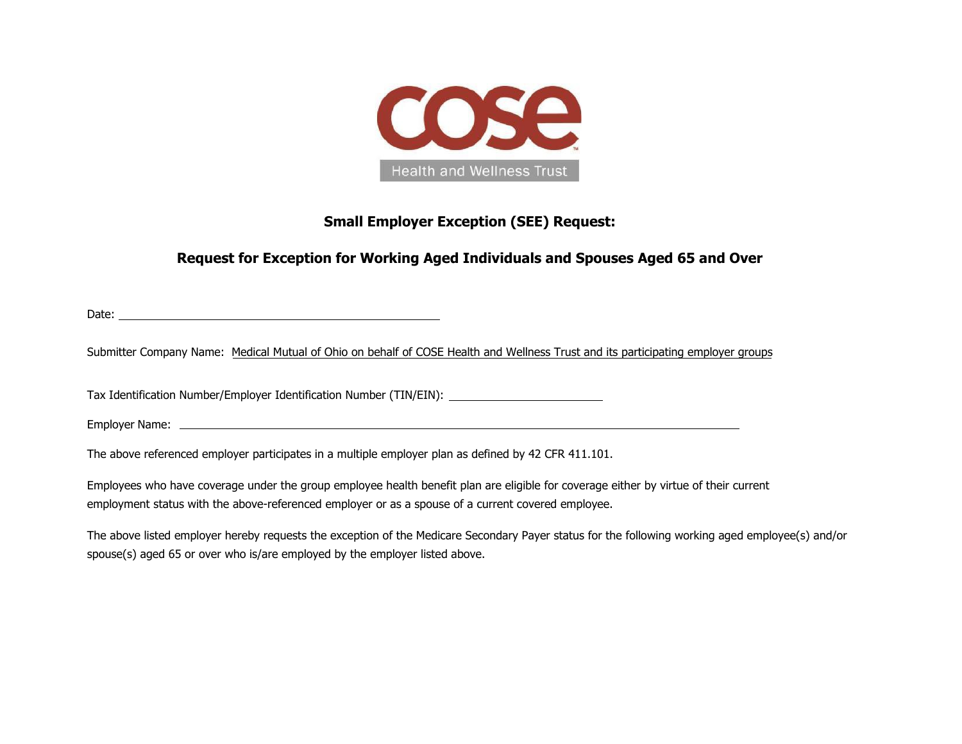

### **Small Employer Exception (SEE) Request:**

## **Request for Exception for Working Aged Individuals and Spouses Aged 65 and Over**

Date:

Submitter Company Name: Medical Mutual of Ohio on behalf of COSE Health and Wellness Trust and its participating employer groups

Tax Identification Number/Employer Identification Number (TIN/EIN):

Employer Name:

The above referenced employer participates in a multiple employer plan as defined by 42 CFR 411.101.

Employees who have coverage under the group employee health benefit plan are eligible for coverage either by virtue of their current employment status with the above-referenced employer or as a spouse of a current covered employee.

The above listed employer hereby requests the exception of the Medicare Secondary Payer status for the following working aged employee(s) and/or spouse(s) aged 65 or over who is/are employed by the employer listed above.